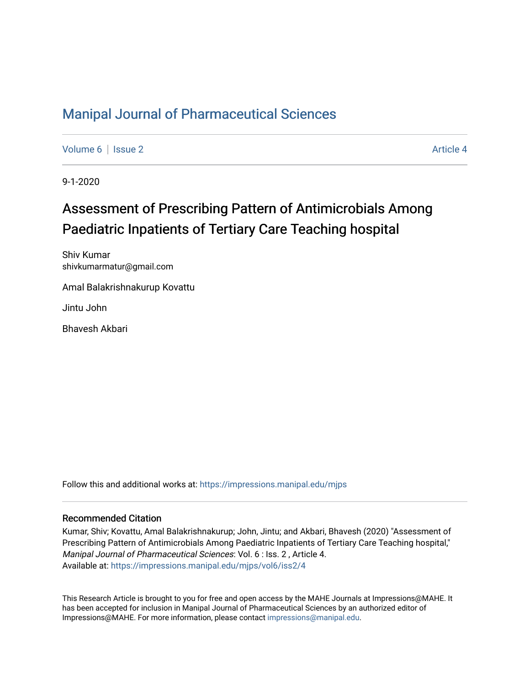### [Manipal Journal of Pharmaceutical Sciences](https://impressions.manipal.edu/mjps)

[Volume 6](https://impressions.manipal.edu/mjps/vol6) | [Issue 2](https://impressions.manipal.edu/mjps/vol6/iss2) Article 4

9-1-2020

# Assessment of Prescribing Pattern of Antimicrobials Among Paediatric Inpatients of Tertiary Care Teaching hospital

Shiv Kumar shivkumarmatur@gmail.com

Amal Balakrishnakurup Kovattu

Jintu John

Bhavesh Akbari

Follow this and additional works at: [https://impressions.manipal.edu/mjps](https://impressions.manipal.edu/mjps?utm_source=impressions.manipal.edu%2Fmjps%2Fvol6%2Fiss2%2F4&utm_medium=PDF&utm_campaign=PDFCoverPages)

#### Recommended Citation

Kumar, Shiv; Kovattu, Amal Balakrishnakurup; John, Jintu; and Akbari, Bhavesh (2020) "Assessment of Prescribing Pattern of Antimicrobials Among Paediatric Inpatients of Tertiary Care Teaching hospital," Manipal Journal of Pharmaceutical Sciences: Vol. 6 : Iss. 2 , Article 4. Available at: [https://impressions.manipal.edu/mjps/vol6/iss2/4](https://impressions.manipal.edu/mjps/vol6/iss2/4?utm_source=impressions.manipal.edu%2Fmjps%2Fvol6%2Fiss2%2F4&utm_medium=PDF&utm_campaign=PDFCoverPages)

This Research Article is brought to you for free and open access by the MAHE Journals at Impressions@MAHE. It has been accepted for inclusion in Manipal Journal of Pharmaceutical Sciences by an authorized editor of Impressions@MAHE. For more information, please contact [impressions@manipal.edu](mailto:impressions@manipal.edu).